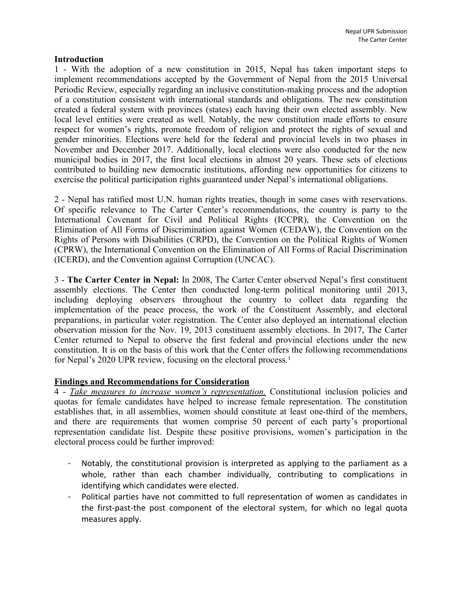## **Introduction**

1 - With the adoption of <sup>a</sup> new constitution in 2015, Nepal has taken important steps to implement recommendations accepted by the Government of Nepal from the 2015 Universal Periodic Review, especially regarding an inclusive constitution-making process and the adoption of <sup>a</sup> constitution consistent with international standards and obligations. The new constitution created <sup>a</sup> federal system with provinces (states) each having their own elected assembly. New local level entities were created as well. Notably, the new constitution made efforts to ensure respec<sup>t</sup> for women'<sup>s</sup> rights, promote freedom of religion and protect the rights of sexual and gender minorities. Elections were held for the federal and provincial levels in two phases in November and December 2017. Additionally, local elections were also conducted for the new municipal bodies in 2017, the first local elections in almost 20 years. These sets of elections contributed to building new democratic institutions, affording new opportunities for citizens to exercise the political participation rights guaranteed under Nepal'<sup>s</sup> international obligations.

2 - Nepal has ratified most U.N. human rights treaties, though in some cases with reservations. Of specific relevance to The Carter Center'<sup>s</sup> recommendations, the country is party to the International Covenant for Civil and Political Rights (ICCPR), the Convention on the Elimination of All Forms of Discrimination against Women (CEDAW), the Convention on the Rights of Persons with Disabilities (CRPD), the Convention on the Political Rights of Women (CPRW), the International Convention on the Elimination of All Forms of Racial Discrimination (ICERD), and the Convention against Corruption (UNCAC).

3 - **The Carter Center in Nepal:** In 2008, The Carter Center observed Nepal'<sup>s</sup> first constituent assembly elections. The Center then conducted long-term political monitoring until 2013, including deploying observers throughout the country to collect data regarding the implementation of the peace process, the work of the Constituent Assembly, and electoral preparations, in particular voter registration. The Center also deployed an international election observation mission for the Nov. 19, 2013 constituent assembly elections. In 2017, The Carter Center returned to Nepal to observe the first federal and provincial elections under the new constitution. It is on the basis of this work that the Center offers the following recommendations for Nepal's 2020 UPR review, focusing on the electoral process.<sup>1</sup>

## **Findings and Recommendations for Consideration**

4 - *Take measures to increase women'<sup>s</sup> representation.* Constitutional inclusion policies and quotas for female candidates have helped to increase female representation. The constitution establishes that, in all assemblies, women should constitute at least one-third of the members, and there are requirements that women comprise 50 percen<sup>t</sup> of each party'<sup>s</sup> proportional representation candidate list. Despite these positive provisions, women'<sup>s</sup> participation in the electoral process could be further improved:

- - Notably, the constitutional provision is interpreted as applying to the parliament as <sup>a</sup> whole, rather than each chamber individually, contributing to complications in identifying which candidates were elected.
- Political parties have not committed to full representation of women as candidates in the first-past-the post component of the electoral system, for which no legal quota measures apply.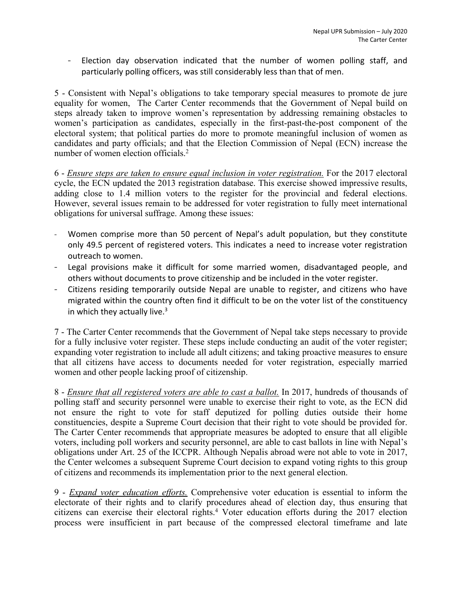- Election day observation indicated that the number of women polling staff, and particularly polling officers, was still considerably less than that of men.

5 - Consistent with Nepal'<sup>s</sup> obligations to take temporary special measures to promote de jure equality for women, The Carter Center recommends that the Government of Nepal build on steps already taken to improve women'<sup>s</sup> representation by addressing remaining obstacles to women'<sup>s</sup> participation as candidates, especially in the first-past-the-post componen<sup>t</sup> of the electoral system; that political parties do more to promote meaningful inclusion of women as candidates and party officials; and that the Election Commission of Nepal (ECN) increase the number of women election officials. 2

6 - *Ensure steps are taken to ensure equal inclusion in voter registration.* For the 2017 electoral cycle, the ECN updated the 2013 registration database. This exercise showed impressive results, adding close to 1.4 million voters to the register for the provincial and federal elections. However, several issues remain to be addressed for voter registration to fully meet international obligations for universal suffrage. Among these issues:

- - Women comprise more than 50 percent of Nepal'<sup>s</sup> adult population, but they constitute only 49.5 percent of registered voters. This indicates <sup>a</sup> need to increase voter registration outreach to women.
- - Legal provisions make it difficult for some married women, disadvantaged people, and others without documents to prove citizenship and be included in the voter register.
- Citizens residing temporarily outside Nepal are unable to register, and citizens who have migrated within the country often find it difficult to be on the voter list of the constituency in which they actually live.<sup>3</sup>

7 - The Carter Center recommends that the Government of Nepal take steps necessary to provide for <sup>a</sup> fully inclusive voter register. These steps include conducting an audit of the voter register; expanding voter registration to include all adult citizens; and taking proactive measures to ensure that all citizens have access to documents needed for voter registration, especially married women and other people lacking proof of citizenship.

8 - *Ensure that all registered voters are able to cast <sup>a</sup> ballot.* In 2017, hundreds of thousands of polling staff and security personnel were unable to exercise their right to vote, as the ECN did not ensure the right to vote for staff deputized for polling duties outside their home constituencies, despite <sup>a</sup> Supreme Court decision that their right to vote should be provided for. The Carter Center recommends that appropriate measures be adopted to ensure that all eligible voters, including poll workers and security personnel, are able to cast ballots in line with Nepal'<sup>s</sup> obligations under Art. 25 of the ICCPR. Although Nepalis abroad were not able to vote in 2017, the Center welcomes <sup>a</sup> subsequent Supreme Court decision to expand voting rights to this group of citizens and recommends its implementation prior to the next general election.

9 - *Expand voter education efforts.* Comprehensive voter education is essential to inform the electorate of their rights and to clarify procedures ahead of election day, thus ensuring that citizens can exercise their electoral rights. <sup>4</sup> Voter education efforts during the 2017 election process were insufficient in par<sup>t</sup> because of the compressed electoral timeframe and late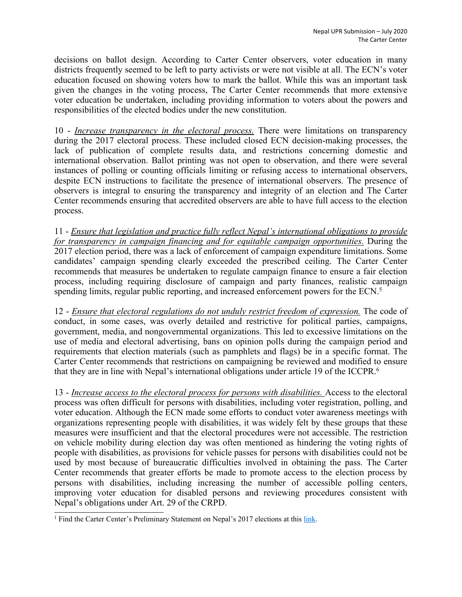decisions on ballot design. According to Carter Center observers, voter education in many districts frequently seemed to be left to party activists or were not visible at all. The ECN'<sup>s</sup> voter education focused on showing voters how to mark the ballot. While this was an important task given the changes in the voting process, The Carter Center recommends that more extensive voter education be undertaken, including providing information to voters about the powers and responsibilities of the elected bodies under the new constitution.

10 - *Increase transparency in the electoral process.* There were limitations on transparency during the 2017 electoral process. These included closed ECN decision-making processes, the lack of publication of complete results data, and restrictions concerning domestic and international observation. Ballot printing was not open to observation, and there were several instances of polling or counting officials limiting or refusing access to international observers, despite ECN instructions to facilitate the presence of international observers. The presence of observers is integral to ensuring the transparency and integrity of an election and The Carter Center recommends ensuring that accredited observers are able to have full access to the election process.

11 - *Ensure that legislation and practice fully reflect Nepal'<sup>s</sup> international obligations to provide for transparency in campaign financing and for equitable campaign opportunities.* During the 2017 election period, there was <sup>a</sup> lack of enforcement of campaign expenditure limitations. Some candidates' campaign spending clearly exceeded the prescribed ceiling. The Carter Center recommends that measures be undertaken to regulate campaign finance to ensure <sup>a</sup> fair election process, including requiring disclosure of campaign and party finances, realistic campaign spending limits, regular public reporting, and increased enforcement powers for the ECN.<sup>5</sup>

12 - *Ensure that electoral regulations do not unduly restrict freedom of expression.* The code of conduct, in some cases, was overly detailed and restrictive for political parties, campaigns, government, media, and nongovernmental organizations. This led to excessive limitations on the use of media and electoral advertising, bans on opinion polls during the campaign period and requirements that election materials (such as pamphlets and flags) be in <sup>a</sup> specific format. The Carter Center recommends that restrictions on campaigning be reviewed and modified to ensure that they are in line with Nepal'<sup>s</sup> international obligations under article 19 of the ICCPR. 6

13 - *Increase access to the electoral process for persons with disabilities.* Access to the electoral process was often difficult for persons with disabilities, including voter registration, polling, and voter education. Although the ECN made some efforts to conduct voter awareness meetings with organizations representing people with disabilities, it was widely felt by these groups that these measures were insufficient and that the electoral procedures were not accessible. The restriction on vehicle mobility during election day was often mentioned as hindering the voting rights of people with disabilities, as provisions for vehicle passes for persons with disabilities could not be used by most because of bureaucratic difficulties involved in obtaining the pass. The Carter Center recommends that greater efforts be made to promote access to the election process by persons with disabilities, including increasing the number of accessible polling centers, improving voter education for disabled persons and reviewing procedures consistent with Nepal'<sup>s</sup> obligations under Art. 29 of the CRPD.

<sup>&</sup>lt;sup>1</sup> Find the Carter Center's Preliminary Statement on Nepal's 2017 elections at this [link](https://www.cartercenter.org/resources/pdfs/news/peace_publications/election_reports/nepal-prelim-120817.pdf).